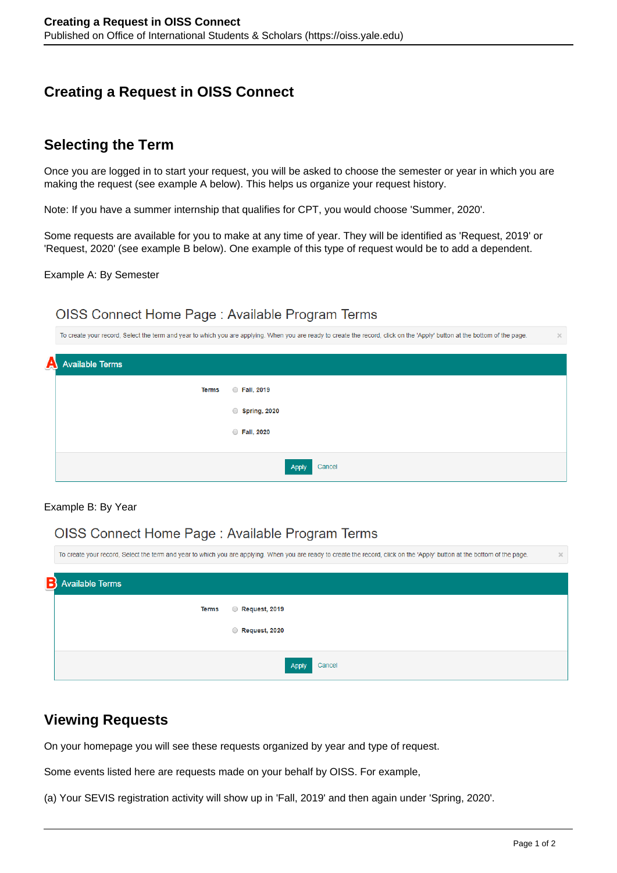# **Creating a Request in OISS Connect**

# **Selecting the Term**

Once you are logged in to start your request, you will be asked to choose the semester or year in which you are making the request (see example A below). This helps us organize your request history.

Note: If you have a summer internship that qualifies for CPT, you would choose 'Summer, 2020'.

Some requests are available for you to make at any time of year. They will be identified as 'Request, 2019' or 'Request, 2020' (see example B below). One example of this type of request would be to add a dependent.

Example A: By Semester

### OISS Connect Home Page: Available Program Terms

|   | To create your record, Select the term and year to which you are applying. When you are ready to create the record, click on the 'Apply' button at the bottom of the page. | $\times$ |
|---|----------------------------------------------------------------------------------------------------------------------------------------------------------------------------|----------|
| A | <b>Available Terms</b>                                                                                                                                                     |          |
|   | <b>C</b> Fall, 2019<br><b>Terms</b>                                                                                                                                        |          |
|   | Spring, 2020                                                                                                                                                               |          |
|   | <b>C</b> Fall, 2020                                                                                                                                                        |          |
|   |                                                                                                                                                                            |          |
|   | Cancel<br>Apply                                                                                                                                                            |          |

#### Example B: By Year

## OISS Connect Home Page: Available Program Terms

|   | To create your record, Select the term and year to which you are applying. When you are ready to create the record, click on the 'Apply' button at the bottom of the page. | $\times$ |  |  |  |
|---|----------------------------------------------------------------------------------------------------------------------------------------------------------------------------|----------|--|--|--|
| В | <b>Available Terms</b>                                                                                                                                                     |          |  |  |  |
|   | <b>C</b> Request, 2019<br><b>Terms</b>                                                                                                                                     |          |  |  |  |
|   | <b>Request, 2020</b>                                                                                                                                                       |          |  |  |  |
|   | Cancel<br>Apply                                                                                                                                                            |          |  |  |  |

## **Viewing Requests**

On your homepage you will see these requests organized by year and type of request.

Some events listed here are requests made on your behalf by OISS. For example,

(a) Your SEVIS registration activity will show up in 'Fall, 2019' and then again under 'Spring, 2020'.